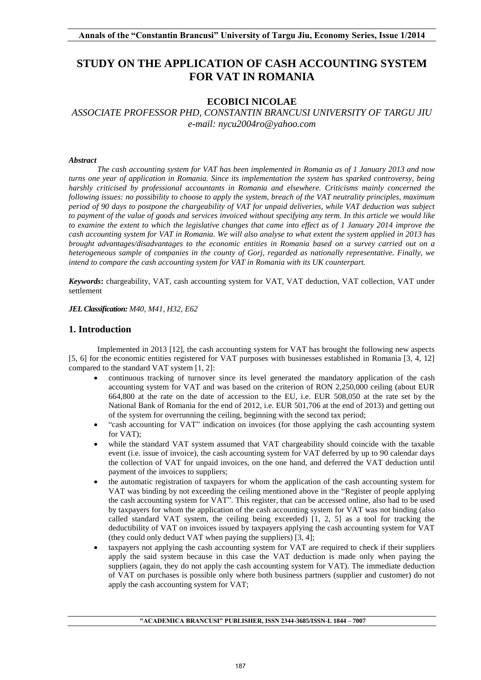# **STUDY ON THE APPLICATION OF CASH ACCOUNTING SYSTEM FOR VAT IN ROMANIA**

# **ECOBICI NICOLAE**

*ASSOCIATE PROFESSOR PHD, CONSTANTIN BRANCUSI UNIVERSITY OF TARGU JIU e-mail: nycu2004ro@yahoo.com*

#### *Abstract*

*The cash accounting system for VAT has been implemented in Romania as of 1 January 2013 and now turns one year of application in Romania. Since its implementation the system has sparked controversy, being harshly criticised by professional accountants in Romania and elsewhere. Criticisms mainly concerned the following issues: no possibility to choose to apply the system, breach of the VAT neutrality principles, maximum period of 90 days to postpone the chargeability of VAT for unpaid deliveries, while VAT deduction was subject to payment of the value of goods and services invoiced without specifying any term. In this article we would like to examine the extent to which the legislative changes that came into effect as of 1 January 2014 improve the cash accounting system for VAT in Romania. We will also analyse to what extent the system applied in 2013 has brought advantages/disadvantages to the economic entities in Romania based on a survey carried out on a heterogeneous sample of companies in the county of Gorj, regarded as nationally representative. Finally, we intend to compare the cash accounting system for VAT in Romania with its UK counterpart.* 

*Keywords***:** chargeability, VAT, cash accounting system for VAT, VAT deduction, VAT collection, VAT under settlement

*JEL Classification: M40, M41, H32, E62* 

#### **1. Introduction**

 Implemented in 2013 [12], the cash accounting system for VAT has brought the following new aspects [5, 6] for the economic entities registered for VAT purposes with businesses established in Romania [3, 4, 12] compared to the standard VAT system [1, 2]:

- continuous tracking of turnover since its level generated the mandatory application of the cash accounting system for VAT and was based on the criterion of RON 2,250,000 ceiling (about EUR 664,800 at the rate on the date of accession to the EU, i.e. EUR 508,050 at the rate set by the National Bank of Romania for the end of 2012, i.e. EUR 501,706 at the end of 2013) and getting out of the system for overrunning the ceiling, beginning with the second tax period;
- "cash accounting for VAT" indication on invoices (for those applying the cash accounting system for VAT);
- while the standard VAT system assumed that VAT chargeability should coincide with the taxable event (i.e. issue of invoice), the cash accounting system for VAT deferred by up to 90 calendar days the collection of VAT for unpaid invoices, on the one hand, and deferred the VAT deduction until payment of the invoices to suppliers;
- the automatic registration of taxpayers for whom the application of the cash accounting system for VAT was binding by not exceeding the ceiling mentioned above in the "Register of people applying the cash accounting system for VAT". This register, that can be accessed online, also had to be used by taxpayers for whom the application of the cash accounting system for VAT was not binding (also called standard VAT system, the ceiling being exceeded) [1, 2, 5] as a tool for tracking the deductibility of VAT on invoices issued by taxpayers applying the cash accounting system for VAT (they could only deduct VAT when paying the suppliers) [3, 4];
- taxpayers not applying the cash accounting system for VAT are required to check if their suppliers apply the said system because in this case the VAT deduction is made only when paying the suppliers (again, they do not apply the cash accounting system for VAT). The immediate deduction of VAT on purchases is possible only where both business partners (supplier and customer) do not apply the cash accounting system for VAT;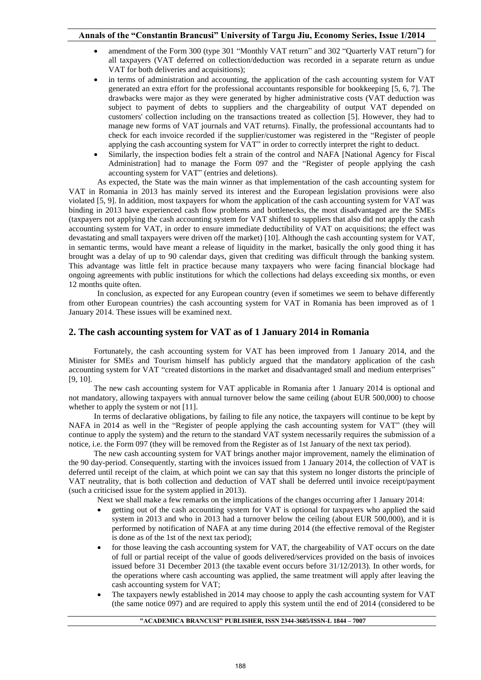- amendment of the Form 300 (type 301 "Monthly VAT return" and 302 "Quarterly VAT return") for all taxpayers (VAT deferred on collection/deduction was recorded in a separate return as undue VAT for both deliveries and acquisitions);
- in terms of administration and accounting, the application of the cash accounting system for VAT generated an extra effort for the professional accountants responsible for bookkeeping [5, 6, 7]. The drawbacks were major as they were generated by higher administrative costs (VAT deduction was subject to payment of debts to suppliers and the chargeability of output VAT depended on customers' collection including on the transactions treated as collection [5]. However, they had to manage new forms of VAT journals and VAT returns). Finally, the professional accountants had to check for each invoice recorded if the supplier/customer was registered in the "Register of people applying the cash accounting system for VAT" in order to correctly interpret the right to deduct.
- Similarly, the inspection bodies felt a strain of the control and NAFA [National Agency for Fiscal Administration] had to manage the Form 097 and the "Register of people applying the cash accounting system for VAT" (entries and deletions).

 As expected, the State was the main winner as that implementation of the cash accounting system for VAT in Romania in 2013 has mainly served its interest and the European legislation provisions were also violated [5, 9]. In addition, most taxpayers for whom the application of the cash accounting system for VAT was binding in 2013 have experienced cash flow problems and bottlenecks, the most disadvantaged are the SMEs (taxpayers not applying the cash accounting system for VAT shifted to suppliers that also did not apply the cash accounting system for VAT, in order to ensure immediate deductibility of VAT on acquisitions; the effect was devastating and small taxpayers were driven off the market) [10]. Although the cash accounting system for VAT, in semantic terms, would have meant a release of liquidity in the market, basically the only good thing it has brought was a delay of up to 90 calendar days, given that crediting was difficult through the banking system. This advantage was little felt in practice because many taxpayers who were facing financial blockage had ongoing agreements with public institutions for which the collections had delays exceeding six months, or even 12 months quite often.

 In conclusion, as expected for any European country (even if sometimes we seem to behave differently from other European countries) the cash accounting system for VAT in Romania has been improved as of 1 January 2014. These issues will be examined next.

#### **2. The cash accounting system for VAT as of 1 January 2014 in Romania**

Fortunately, the cash accounting system for VAT has been improved from 1 January 2014, and the Minister for SMEs and Tourism himself has publicly argued that the mandatory application of the cash accounting system for VAT "created distortions in the market and disadvantaged small and medium enterprises" [9, 10].

The new cash accounting system for VAT applicable in Romania after 1 January 2014 is optional and not mandatory, allowing taxpayers with annual turnover below the same ceiling (about EUR 500,000) to choose whether to apply the system or not [11].

In terms of declarative obligations, by failing to file any notice, the taxpayers will continue to be kept by NAFA in 2014 as well in the "Register of people applying the cash accounting system for VAT" (they will continue to apply the system) and the return to the standard VAT system necessarily requires the submission of a notice, i.e. the Form 097 (they will be removed from the Register as of 1st January of the next tax period).

The new cash accounting system for VAT brings another major improvement, namely the elimination of the 90 day-period. Consequently, starting with the invoices issued from 1 January 2014, the collection of VAT is deferred until receipt of the claim, at which point we can say that this system no longer distorts the principle of VAT neutrality, that is both collection and deduction of VAT shall be deferred until invoice receipt/payment (such a criticised issue for the system applied in 2013).

Next we shall make a few remarks on the implications of the changes occurring after 1 January 2014:

- getting out of the cash accounting system for VAT is optional for taxpayers who applied the said system in 2013 and who in 2013 had a turnover below the ceiling (about EUR 500,000), and it is performed by notification of NAFA at any time during 2014 (the effective removal of the Register is done as of the 1st of the next tax period);
- for those leaving the cash accounting system for VAT, the chargeability of VAT occurs on the date of full or partial receipt of the value of goods delivered/services provided on the basis of invoices issued before 31 December 2013 (the taxable event occurs before 31/12/2013). In other words, for the operations where cash accounting was applied, the same treatment will apply after leaving the cash accounting system for VAT;
- The taxpayers newly established in 2014 may choose to apply the cash accounting system for VAT (the same notice 097) and are required to apply this system until the end of 2014 (considered to be

#### **"ACADEMICA BRANCUSI" PUBLISHER, ISSN 2344-3685/ISSN-L 1844 – 7007**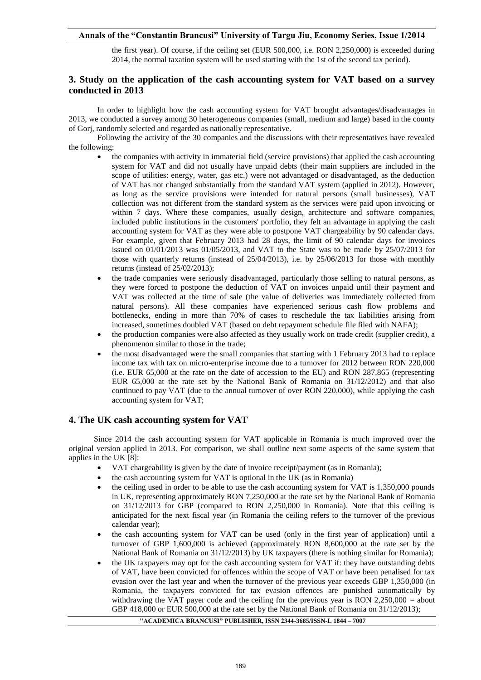### **Annals of the "Constantin Brancusi" University of Targu Jiu, Economy Series, Issue 1/2014**

the first year). Of course, if the ceiling set (EUR 500,000, i.e. RON 2,250,000) is exceeded during 2014, the normal taxation system will be used starting with the 1st of the second tax period).

# **3. Study on the application of the cash accounting system for VAT based on a survey conducted in 2013**

 In order to highlight how the cash accounting system for VAT brought advantages/disadvantages in 2013, we conducted a survey among 30 heterogeneous companies (small, medium and large) based in the county of Gorj, randomly selected and regarded as nationally representative.

 Following the activity of the 30 companies and the discussions with their representatives have revealed the following:

- the companies with activity in immaterial field (service provisions) that applied the cash accounting system for VAT and did not usually have unpaid debts (their main suppliers are included in the scope of utilities: energy, water, gas etc.) were not advantaged or disadvantaged, as the deduction of VAT has not changed substantially from the standard VAT system (applied in 2012). However, as long as the service provisions were intended for natural persons (small businesses), VAT collection was not different from the standard system as the services were paid upon invoicing or within 7 days. Where these companies, usually design, architecture and software companies, included public institutions in the customers' portfolio, they felt an advantage in applying the cash accounting system for VAT as they were able to postpone VAT chargeability by 90 calendar days. For example, given that February 2013 had 28 days, the limit of 90 calendar days for invoices issued on 01/01/2013 was 01/05/2013, and VAT to the State was to be made by 25/07/2013 for those with quarterly returns (instead of 25/04/2013), i.e. by 25/06/2013 for those with monthly returns (instead of 25/02/2013);
- the trade companies were seriously disadvantaged, particularly those selling to natural persons, as they were forced to postpone the deduction of VAT on invoices unpaid until their payment and VAT was collected at the time of sale (the value of deliveries was immediately collected from natural persons). All these companies have experienced serious cash flow problems and bottlenecks, ending in more than 70% of cases to reschedule the tax liabilities arising from increased, sometimes doubled VAT (based on debt repayment schedule file filed with NAFA);
- the production companies were also affected as they usually work on trade credit (supplier credit), a phenomenon similar to those in the trade;
- the most disadvantaged were the small companies that starting with 1 February 2013 had to replace income tax with tax on micro-enterprise income due to a turnover for 2012 between RON 220,000 (i.e. EUR 65,000 at the rate on the date of accession to the EU) and RON 287,865 (representing EUR 65,000 at the rate set by the National Bank of Romania on 31/12/2012) and that also continued to pay VAT (due to the annual turnover of over RON 220,000), while applying the cash accounting system for VAT;

#### **4. The UK cash accounting system for VAT**

Since 2014 the cash accounting system for VAT applicable in Romania is much improved over the original version applied in 2013. For comparison, we shall outline next some aspects of the same system that applies in the UK [8]:

- VAT chargeability is given by the date of invoice receipt/payment (as in Romania);
- the cash accounting system for VAT is optional in the UK (as in Romania)
- the ceiling used in order to be able to use the cash accounting system for VAT is 1,350,000 pounds in UK, representing approximately RON 7,250,000 at the rate set by the National Bank of Romania on 31/12/2013 for GBP (compared to RON 2,250,000 in Romania). Note that this ceiling is anticipated for the next fiscal year (in Romania the ceiling refers to the turnover of the previous calendar year);
- the cash accounting system for VAT can be used (only in the first year of application) until a turnover of GBP 1,600,000 is achieved (approximately RON 8,600,000 at the rate set by the National Bank of Romania on 31/12/2013) by UK taxpayers (there is nothing similar for Romania);
- the UK taxpayers may opt for the cash accounting system for VAT if: they have outstanding debts of VAT, have been convicted for offences within the scope of VAT or have been penalised for tax evasion over the last year and when the turnover of the previous year exceeds GBP 1,350,000 (in Romania, the taxpayers convicted for tax evasion offences are punished automatically by withdrawing the VAT payer code and the ceiling for the previous year is RON 2,250,000 = about GBP 418,000 or EUR 500,000 at the rate set by the National Bank of Romania on  $31/12/2013$ ;

**"ACADEMICA BRANCUSI" PUBLISHER, ISSN 2344-3685/ISSN-L 1844 – 7007**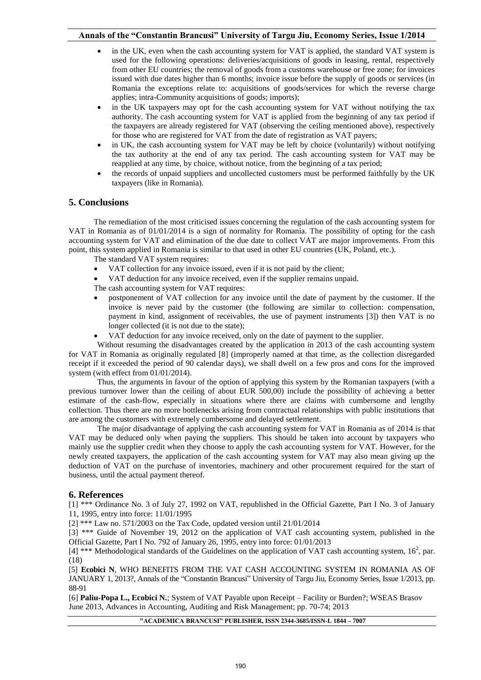- in the UK, even when the cash accounting system for VAT is applied, the standard VAT system is used for the following operations: deliveries/acquisitions of goods in leasing, rental, respectively from other EU countries; the removal of goods from a customs warehouse or free zone; for invoices issued with due dates higher than 6 months; invoice issue before the supply of goods or services (in Romania the exceptions relate to: acquisitions of goods/services for which the reverse charge applies; intra-Community acquisitions of goods; imports);
- in the UK taxpayers may opt for the cash accounting system for VAT without notifying the tax authority. The cash accounting system for VAT is applied from the beginning of any tax period if the taxpayers are already registered for VAT (observing the ceiling mentioned above), respectively for those who are registered for VAT from the date of registration as VAT payers;
- in UK, the cash accounting system for VAT may be left by choice (voluntarily) without notifying the tax authority at the end of any tax period. The cash accounting system for VAT may be reapplied at any time, by choice, without notice, from the beginning of a tax period;
- the records of unpaid suppliers and uncollected customers must be performed faithfully by the UK taxpayers (like in Romania).

### **5. Conclusions**

The remediation of the most criticised issues concerning the regulation of the cash accounting system for VAT in Romania as of 01/01/2014 is a sign of normality for Romania. The possibility of opting for the cash accounting system for VAT and elimination of the due date to collect VAT are major improvements. From this point, this system applied in Romania is similar to that used in other EU countries (UK, Poland, etc.).

The standard VAT system requires:

- VAT collection for any invoice issued, even if it is not paid by the client;
- VAT deduction for any invoice received, even if the supplier remains unpaid.

The cash accounting system for VAT requires:

- postponement of VAT collection for any invoice until the date of payment by the customer. If the invoice is never paid by the customer (the following are similar to collection: compensation, payment in kind, assignment of receivables, the use of payment instruments [3]) then VAT is no longer collected (it is not due to the state);
- VAT deduction for any invoice received, only on the date of payment to the supplier.

 Without resuming the disadvantages created by the application in 2013 of the cash accounting system for VAT in Romania as originally regulated [8] (improperly named at that time, as the collection disregarded receipt if it exceeded the period of 90 calendar days), we shall dwell on a few pros and cons for the improved system (with effect from 01/01/2014).

 Thus, the arguments in favour of the option of applying this system by the Romanian taxpayers (with a previous turnover lower than the ceiling of about EUR 500,00) include the possibility of achieving a better estimate of the cash-flow, especially in situations where there are claims with cumbersome and lengthy collection. Thus there are no more bottlenecks arising from contractual relationships with public institutions that are among the customers with extremely cumbersome and delayed settlement.

 The major disadvantage of applying the cash accounting system for VAT in Romania as of 2014 is that VAT may be deduced only when paying the suppliers. This should be taken into account by taxpayers who mainly use the supplier credit when they choose to apply the cash accounting system for VAT. However, for the newly created taxpayers, the application of the cash accounting system for VAT may also mean giving up the deduction of VAT on the purchase of inventories, machinery and other procurement required for the start of business, until the actual payment thereof.

#### **6. References**

[1] \*\*\* Ordinance No. 3 of July 27, 1992 on VAT, republished in the Official Gazette, Part I No. 3 of January 11, 1995, entry into force: 11/01/1995

[2] \*\*\* Law no. 571/2003 on the Tax Code, updated version until 21/01/2014

[3] \*\*\* Guide of November 19, 2012 on the application of VAT cash accounting system, published in the Official Gazette, Part I No. 792 of January 26, 1995, entry into force: 01/01/2013

[4] \*\*\* Methodological standards of the Guidelines on the application of VAT cash accounting system,  $16^2$ , par. (18)

[5] **Ecobici N**, WHO BENEFITS FROM THE VAT CASH ACCOUNTING SYSTEM IN ROMANIA AS OF JANUARY 1, 2013?, Annals of the "Constantin Brancusi" University of Targu Jiu, Economy Series, Issue 1/2013, pp. 88-91

[6] **Paliu-Popa L., Ecobici N.**; System of VAT Payable upon Receipt – Facility or Burden?; WSEAS Brasov June 2013, Advances in Accounting, Auditing and Risk Management; pp. 70-74; 2013

**"ACADEMICA BRANCUSI" PUBLISHER, ISSN 2344-3685/ISSN-L 1844 – 7007**